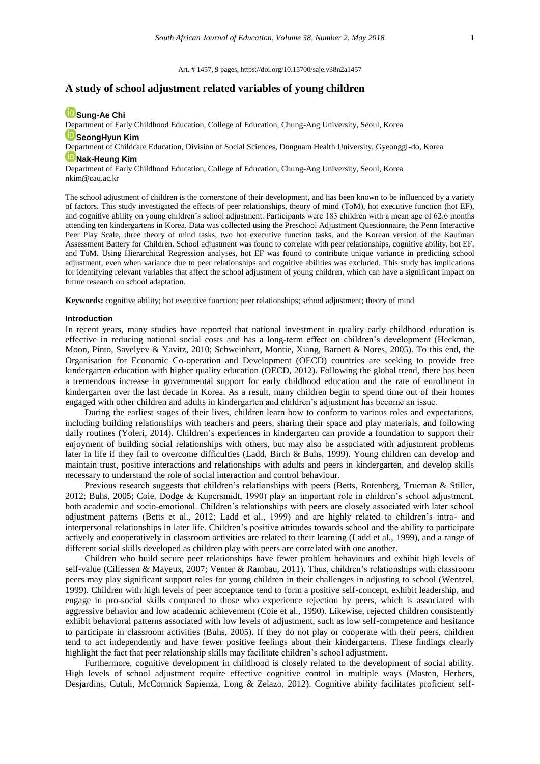Art. # 1457, 9 pages[, https://doi.org/10.15700/saje.v38n2a1457](https://doi.org/10.15700/saje.v38n2a1457)

# **A study of school adjustment related variables of young children**

# **[Sung-Ae Chi](http://orcid.org/0000-0001-7404-7416)**

Department of Early Childhood Education, College of Education, Chung-Ang University, Seoul, Korea

# **[SeongHyun Kim](http://orcid.org/0000-0001-8557-0819)**

Department of Childcare Education, Division of Social Sciences, Dongnam Health University, Gyeonggi-do, Korea

# **ID** [Nak-Heung Kim](http://orcid.org/0000-0002-3561-4681)

Department of Early Childhood Education, College of Education, Chung-Ang University, Seoul, Korea nkim@cau.ac.kr

The school adjustment of children is the cornerstone of their development, and has been known to be influenced by a variety of factors. This study investigated the effects of peer relationships, theory of mind (ToM), hot executive function (hot EF), and cognitive ability on young children's school adjustment. Participants were 183 children with a mean age of 62.6 months attending ten kindergartens in Korea. Data was collected using the Preschool Adjustment Questionnaire, the Penn Interactive Peer Play Scale, three theory of mind tasks, two hot executive function tasks, and the Korean version of the Kaufman Assessment Battery for Children. School adjustment was found to correlate with peer relationships, cognitive ability, hot EF, and ToM. Using Hierarchical Regression analyses, hot EF was found to contribute unique variance in predicting school adjustment, even when variance due to peer relationships and cognitive abilities was excluded. This study has implications for identifying relevant variables that affect the school adjustment of young children, which can have a significant impact on future research on school adaptation.

**Keywords:** cognitive ability; hot executive function; peer relationships; school adjustment; theory of mind

### **Introduction**

In recent years, many studies have reported that national investment in quality early childhood education is effective in reducing national social costs and has a long-term effect on children's development (Heckman, Moon, Pinto, Savelyev & Yavitz, 2010; Schweinhart, Montie, Xiang, Barnett & Nores, 2005). To this end, the Organisation for Economic Co-operation and Development (OECD) countries are seeking to provide free kindergarten education with higher quality education (OECD, 2012). Following the global trend, there has been a tremendous increase in governmental support for early childhood education and the rate of enrollment in kindergarten over the last decade in Korea. As a result, many children begin to spend time out of their homes engaged with other children and adults in kindergarten and children's adjustment has become an issue.

During the earliest stages of their lives, children learn how to conform to various roles and expectations, including building relationships with teachers and peers, sharing their space and play materials, and following daily routines (Yoleri, 2014). Children's experiences in kindergarten can provide a foundation to support their enjoyment of building social relationships with others, but may also be associated with adjustment problems later in life if they fail to overcome difficulties (Ladd, Birch & Buhs, 1999). Young children can develop and maintain trust, positive interactions and relationships with adults and peers in kindergarten, and develop skills necessary to understand the role of social interaction and control behaviour.

Previous research suggests that children's relationships with peers (Betts, Rotenberg, Trueman & Stiller, 2012; Buhs, 2005; Coie, Dodge & Kupersmidt, 1990) play an important role in children's school adjustment, both academic and socio-emotional. Children's relationships with peers are closely associated with later school adjustment patterns (Betts et al., 2012; Ladd et al., 1999) and are highly related to children's intra- and interpersonal relationships in later life. Children's positive attitudes towards school and the ability to participate actively and cooperatively in classroom activities are related to their learning (Ladd et al., 1999), and a range of different social skills developed as children play with peers are correlated with one another.

Children who build secure peer relationships have fewer problem behaviours and exhibit high levels of self-value (Cillessen & Mayeux, 2007; Venter & Rambau, 2011). Thus, children's relationships with classroom peers may play significant support roles for young children in their challenges in adjusting to school (Wentzel, 1999). Children with high levels of peer acceptance tend to form a positive self-concept, exhibit leadership, and engage in pro-social skills compared to those who experience rejection by peers, which is associated with aggressive behavior and low academic achievement (Coie et al., 1990). Likewise, rejected children consistently exhibit behavioral patterns associated with low levels of adjustment, such as low self-competence and hesitance to participate in classroom activities (Buhs, 2005). If they do not play or cooperate with their peers, children tend to act independently and have fewer positive feelings about their kindergartens. These findings clearly highlight the fact that peer relationship skills may facilitate children's school adjustment.

Furthermore, cognitive development in childhood is closely related to the development of social ability. High levels of school adjustment require effective cognitive control in multiple ways (Masten, Herbers, Desjardins, Cutuli, McCormick Sapienza, Long & Zelazo, 2012). Cognitive ability facilitates proficient self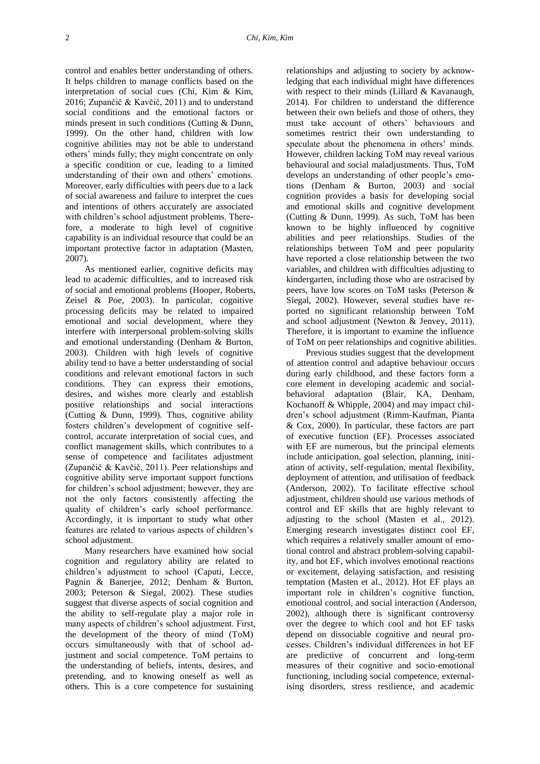control and enables better understanding of others. It helps children to manage conflicts based on the interpretation of social cues (Chi, Kim & Kim, 2016; Zupančič & Kavčič, 2011) and to understand social conditions and the emotional factors or minds present in such conditions (Cutting & Dunn, 1999). On the other hand, children with low cognitive abilities may not be able to understand others' minds fully; they might concentrate on only a specific condition or cue, leading to a limited understanding of their own and others' emotions. Moreover, early difficulties with peers due to a lack of social awareness and failure to interpret the cues and intentions of others accurately are associated with children's school adjustment problems. Therefore, a moderate to high level of cognitive capability is an individual resource that could be an important protective factor in adaptation (Masten, 2007).

As mentioned earlier, cognitive deficits may lead to academic difficulties, and to increased risk of social and emotional problems (Hooper, Roberts, Zeisel & Poe, 2003). In particular, cognitive processing deficits may be related to impaired emotional and social development, where they interfere with interpersonal problem-solving skills and emotional understanding (Denham & Burton, 2003). Children with high levels of cognitive ability tend to have a better understanding of social conditions and relevant emotional factors in such conditions. They can express their emotions, desires, and wishes more clearly and establish positive relationships and social interactions (Cutting & Dunn, 1999). Thus, cognitive ability fosters children's development of cognitive selfcontrol, accurate interpretation of social cues, and conflict management skills, which contributes to a sense of competence and facilitates adjustment (Zupančič & Kavčič, 2011). Peer relationships and cognitive ability serve important support functions for children's school adjustment; however, they are not the only factors consistently affecting the quality of children's early school performance. Accordingly, it is important to study what other features are related to various aspects of children's school adjustment.

Many researchers have examined how social cognition and regulatory ability are related to children's adjustment to school (Caputi, Lecce, Pagnin & Banerjee, 2012; Denham & Burton, 2003; Peterson & Siegal, 2002). These studies suggest that diverse aspects of social cognition and the ability to self-regulate play a major role in many aspects of children's school adjustment. First, the development of the theory of mind (ToM) occurs simultaneously with that of school adjustment and social competence. ToM pertains to the understanding of beliefs, intents, desires, and pretending, and to knowing oneself as well as others. This is a core competence for sustaining

relationships and adjusting to society by acknowledging that each individual might have differences with respect to their minds (Lillard & Kavanaugh, 2014). For children to understand the difference between their own beliefs and those of others, they must take account of others' behaviours and sometimes restrict their own understanding to speculate about the phenomena in others' minds. However, children lacking ToM may reveal various behavioural and social maladjustments. Thus, ToM develops an understanding of other people's emotions (Denham & Burton, 2003) and social cognition provides a basis for developing social and emotional skills and cognitive development (Cutting & Dunn, 1999). As such, ToM has been known to be highly influenced by cognitive abilities and peer relationships. Studies of the relationships between ToM and peer popularity have reported a close relationship between the two variables, and children with difficulties adjusting to kindergarten, including those who are ostracised by peers, have low scores on ToM tasks (Peterson & Siegal, 2002). However, several studies have reported no significant relationship between ToM and school adjustment (Newton & Jenvey, 2011). Therefore, it is important to examine the influence of ToM on peer relationships and cognitive abilities.

Previous studies suggest that the development of attention control and adaptive behaviour occurs during early childhood, and these factors form a core element in developing academic and socialbehavioral adaptation (Blair, KA, Denham, Kochanoff & Whipple, 2004) and may impact children's school adjustment (Rimm-Kaufman, Pianta & Cox, 2000). In particular, these factors are part of executive function (EF). Processes associated with EF are numerous, but the principal elements include anticipation, goal selection, planning, initiation of activity, self-regulation, mental flexibility, deployment of attention, and utilisation of feedback (Anderson, 2002). To facilitate effective school adjustment, children should use various methods of control and EF skills that are highly relevant to adjusting to the school (Masten et al., 2012). Emerging research investigates distinct cool EF, which requires a relatively smaller amount of emotional control and abstract problem-solving capability, and hot EF, which involves emotional reactions or excitement, delaying satisfaction, and resisting temptation (Masten et al., 2012). Hot EF plays an important role in children's cognitive function, emotional control, and social interaction (Anderson, 2002), although there is significant controversy over the degree to which cool and hot EF tasks depend on dissociable cognitive and neural processes. Children's individual differences in hot EF are predictive of concurrent and long-term measures of their cognitive and socio-emotional functioning, including social competence, externalising disorders, stress resilience, and academic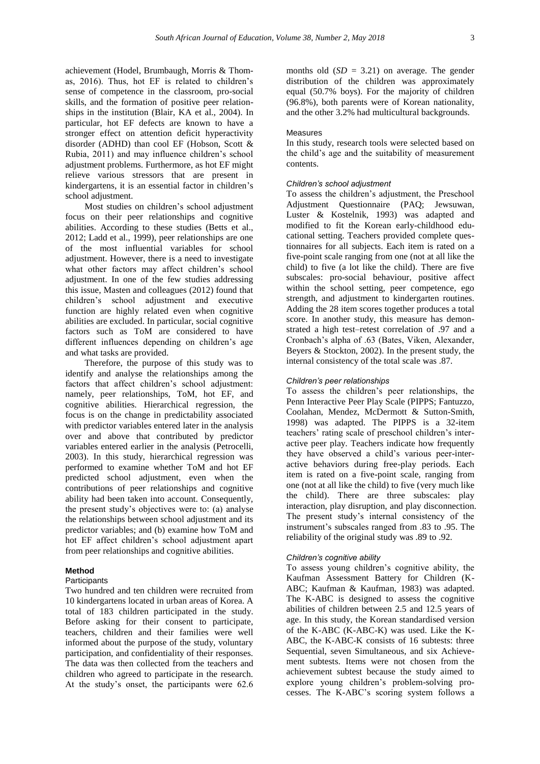achievement (Hodel, Brumbaugh, Morris & Thomas, 2016). Thus, hot EF is related to children's sense of competence in the classroom, pro-social skills, and the formation of positive peer relationships in the institution (Blair, KA et al., 2004). In particular, hot EF defects are known to have a stronger effect on attention deficit hyperactivity disorder (ADHD) than cool EF (Hobson, Scott & Rubia, 2011) and may influence children's school adjustment problems. Furthermore, as hot EF might relieve various stressors that are present in kindergartens, it is an essential factor in children's school adjustment.

Most studies on children's school adjustment focus on their peer relationships and cognitive abilities. According to these studies (Betts et al., 2012; Ladd et al., 1999), peer relationships are one of the most influential variables for school adjustment. However, there is a need to investigate what other factors may affect children's school adjustment. In one of the few studies addressing this issue, Masten and colleagues (2012) found that children's school adjustment and executive function are highly related even when cognitive abilities are excluded. In particular, social cognitive factors such as ToM are considered to have different influences depending on children's age and what tasks are provided.

Therefore, the purpose of this study was to identify and analyse the relationships among the factors that affect children's school adjustment: namely, peer relationships, ToM, hot EF, and cognitive abilities. Hierarchical regression, the focus is on the change in predictability associated with predictor variables entered later in the analysis over and above that contributed by predictor variables entered earlier in the analysis (Petrocelli, 2003). In this study, hierarchical regression was performed to examine whether ToM and hot EF predicted school adjustment, even when the contributions of peer relationships and cognitive ability had been taken into account. Consequently, the present study's objectives were to: (a) analyse the relationships between school adjustment and its predictor variables; and (b) examine how ToM and hot EF affect children's school adjustment apart from peer relationships and cognitive abilities.

# **Method**

## **Participants**

Two hundred and ten children were recruited from 10 kindergartens located in urban areas of Korea. A total of 183 children participated in the study. Before asking for their consent to participate, teachers, children and their families were well informed about the purpose of the study, voluntary participation, and confidentiality of their responses. The data was then collected from the teachers and children who agreed to participate in the research. At the study's onset, the participants were 62.6 months old  $(SD = 3.21)$  on average. The gender distribution of the children was approximately equal (50.7% boys). For the majority of children (96.8%), both parents were of Korean nationality, and the other 3.2% had multicultural backgrounds.

#### Measures

In this study, research tools were selected based on the child's age and the suitability of measurement contents.

# *Children's school adjustment*

To assess the children's adjustment, the Preschool Adjustment Questionnaire (PAQ; Jewsuwan, Luster & Kostelnik, 1993) was adapted and modified to fit the Korean early-childhood educational setting. Teachers provided complete questionnaires for all subjects. Each item is rated on a five-point scale ranging from one (not at all like the child) to five (a lot like the child). There are five subscales: pro-social behaviour, positive affect within the school setting, peer competence, ego strength, and adjustment to kindergarten routines. Adding the 28 item scores together produces a total score. In another study, this measure has demonstrated a high test–retest correlation of .97 and a Cronbach's alpha of .63 (Bates, Viken, Alexander, Beyers & Stockton, 2002). In the present study, the internal consistency of the total scale was .87.

#### *Children's peer relationships*

To assess the children's peer relationships, the Penn Interactive Peer Play Scale (PIPPS; Fantuzzo, Coolahan, Mendez, McDermott & Sutton-Smith, 1998) was adapted. The PIPPS is a 32-item teachers' rating scale of preschool children's interactive peer play. Teachers indicate how frequently they have observed a child's various peer-interactive behaviors during free-play periods. Each item is rated on a five-point scale, ranging from one (not at all like the child) to five (very much like the child). There are three subscales: play interaction, play disruption, and play disconnection. The present study's internal consistency of the instrument's subscales ranged from .83 to .95. The reliability of the original study was .89 to .92.

#### *Children's cognitive ability*

To assess young children's cognitive ability, the Kaufman Assessment Battery for Children (K-ABC; Kaufman & Kaufman, 1983) was adapted. The K-ABC is designed to assess the cognitive abilities of children between 2.5 and 12.5 years of age. In this study, the Korean standardised version of the K-ABC (K-ABC-K) was used. Like the K-ABC, the K-ABC-K consists of 16 subtests: three Sequential, seven Simultaneous, and six Achievement subtests. Items were not chosen from the achievement subtest because the study aimed to explore young children's problem-solving processes. The K-ABC's scoring system follows a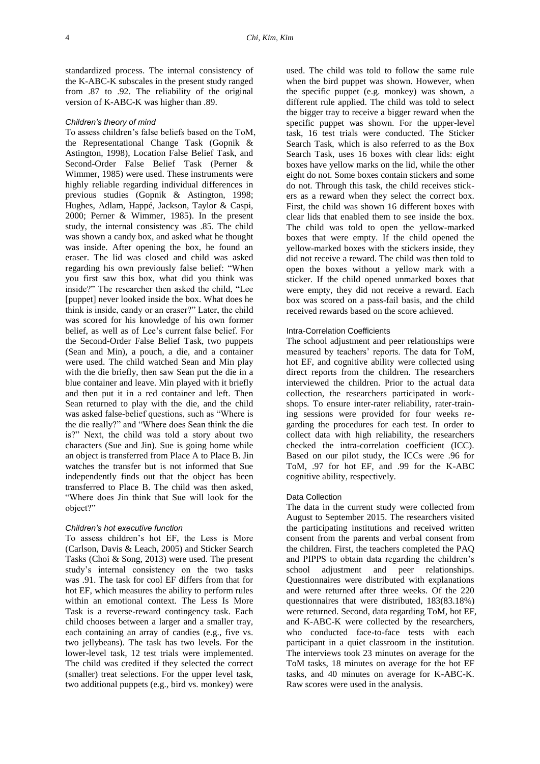standardized process. The internal consistency of the K-ABC-K subscales in the present study ranged from .87 to .92. The reliability of the original version of K-ABC-K was higher than .89.

### *Children's theory of mind*

To assess children's false beliefs based on the ToM, the Representational Change Task (Gopnik & Astington, 1998), Location False Belief Task, and Second-Order False Belief Task (Perner & Wimmer, 1985) were used. These instruments were highly reliable regarding individual differences in previous studies (Gopnik & Astington, 1998; Hughes, Adlam, Happé, Jackson, Taylor & Caspi, 2000; Perner & Wimmer, 1985). In the present study, the internal consistency was .85. The child was shown a candy box, and asked what he thought was inside. After opening the box, he found an eraser. The lid was closed and child was asked regarding his own previously false belief: "When you first saw this box, what did you think was inside?" The researcher then asked the child, "Lee [puppet] never looked inside the box. What does he think is inside, candy or an eraser?" Later, the child was scored for his knowledge of his own former belief, as well as of Lee's current false belief. For the Second-Order False Belief Task, two puppets (Sean and Min), a pouch, a die, and a container were used. The child watched Sean and Min play with the die briefly, then saw Sean put the die in a blue container and leave. Min played with it briefly and then put it in a red container and left. Then Sean returned to play with the die, and the child was asked false-belief questions, such as "Where is the die really?" and "Where does Sean think the die is?" Next, the child was told a story about two characters (Sue and Jin). Sue is going home while an object is transferred from Place A to Place B. Jin watches the transfer but is not informed that Sue independently finds out that the object has been transferred to Place B. The child was then asked, "Where does Jin think that Sue will look for the object?"

#### *Children's hot executive function*

To assess children's hot EF, the Less is More (Carlson, Davis & Leach, 2005) and Sticker Search Tasks (Choi & Song, 2013) were used. The present study's internal consistency on the two tasks was .91. The task for cool EF differs from that for hot EF, which measures the ability to perform rules within an emotional context. The Less Is More Task is a reverse-reward contingency task. Each child chooses between a larger and a smaller tray, each containing an array of candies (e.g., five vs. two jellybeans). The task has two levels. For the lower-level task, 12 test trials were implemented. The child was credited if they selected the correct (smaller) treat selections. For the upper level task, two additional puppets (e.g., bird vs. monkey) were used. The child was told to follow the same rule when the bird puppet was shown. However, when the specific puppet (e.g. monkey) was shown, a different rule applied. The child was told to select the bigger tray to receive a bigger reward when the specific puppet was shown. For the upper-level task, 16 test trials were conducted. The Sticker Search Task, which is also referred to as the Box Search Task, uses 16 boxes with clear lids: eight boxes have yellow marks on the lid, while the other eight do not. Some boxes contain stickers and some do not. Through this task, the child receives stickers as a reward when they select the correct box. First, the child was shown 16 different boxes with clear lids that enabled them to see inside the box. The child was told to open the yellow-marked boxes that were empty. If the child opened the yellow-marked boxes with the stickers inside, they did not receive a reward. The child was then told to open the boxes without a yellow mark with a sticker. If the child opened unmarked boxes that were empty, they did not receive a reward. Each box was scored on a pass-fail basis, and the child received rewards based on the score achieved.

#### Intra-Correlation Coefficients

The school adjustment and peer relationships were measured by teachers' reports. The data for ToM, hot EF, and cognitive ability were collected using direct reports from the children. The researchers interviewed the children. Prior to the actual data collection, the researchers participated in workshops. To ensure inter-rater reliability, rater-training sessions were provided for four weeks regarding the procedures for each test. In order to collect data with high reliability, the researchers checked the intra-correlation coefficient (ICC). Based on our pilot study, the ICCs were .96 for ToM, .97 for hot EF, and .99 for the K-ABC cognitive ability, respectively.

#### Data Collection

The data in the current study were collected from August to September 2015. The researchers visited the participating institutions and received written consent from the parents and verbal consent from the children. First, the teachers completed the PAQ and PIPPS to obtain data regarding the children's school adjustment and peer relationships. Questionnaires were distributed with explanations and were returned after three weeks. Of the 220 questionnaires that were distributed, 183(83.18%) were returned. Second, data regarding ToM, hot EF, and K-ABC-K were collected by the researchers, who conducted face-to-face tests with each participant in a quiet classroom in the institution. The interviews took 23 minutes on average for the ToM tasks, 18 minutes on average for the hot EF tasks, and 40 minutes on average for K-ABC-K. Raw scores were used in the analysis.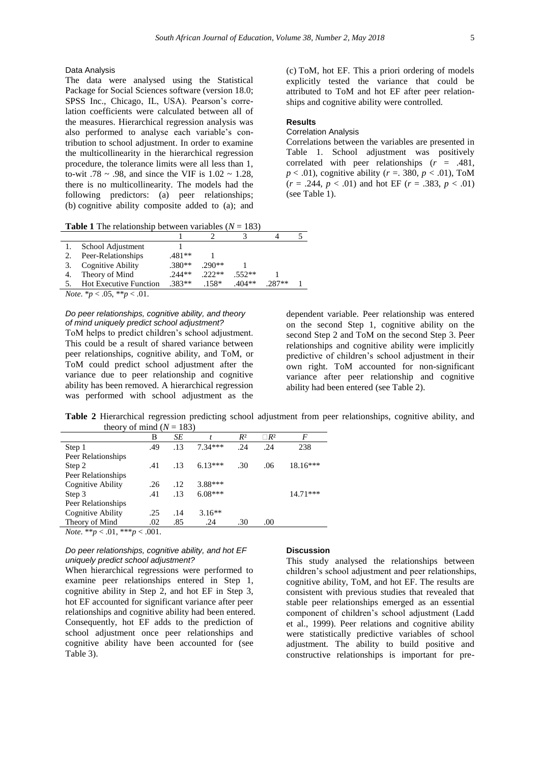### Data Analysis

The data were analysed using the Statistical Package for Social Sciences software (version 18.0; SPSS Inc., Chicago, IL, USA). Pearson's correlation coefficients were calculated between all of the measures. Hierarchical regression analysis was also performed to analyse each variable's contribution to school adjustment. In order to examine the multicollinearity in the hierarchical regression procedure, the tolerance limits were all less than 1, to-wit .78  $\sim$  .98, and since the VIF is 1.02  $\sim$  1.28, there is no multicollinearity. The models had the following predictors: (a) peer relationships; (b) cognitive ability composite added to (a); and

**Table 1** The relationship between variables  $(N = 183)$ 

| School Adjustment             |          |          |          |         |  |
|-------------------------------|----------|----------|----------|---------|--|
| Peer-Relationships            | 481**    |          |          |         |  |
| Cognitive Ability             | $.380**$ | $.290**$ |          |         |  |
| Theory of Mind                | $.244**$ | $222**$  | $.552**$ |         |  |
| <b>Hot Executive Function</b> | $.383**$ | $158*$   | $404**$  | $787**$ |  |

*Note*.  $*_{p} < .05$ ,  $**_{p} < .01$ .

# *Do peer relationships, cognitive ability, and theory of mind uniquely predict school adjustment?*

ToM helps to predict children's school adjustment. This could be a result of shared variance between peer relationships, cognitive ability, and ToM, or ToM could predict school adjustment after the variance due to peer relationship and cognitive ability has been removed. A hierarchical regression was performed with school adjustment as the (c) ToM, hot EF. This a priori ordering of models explicitly tested the variance that could be attributed to ToM and hot EF after peer relationships and cognitive ability were controlled.

### **Results**

#### Correlation Analysis

Correlations between the variables are presented in Table 1. School adjustment was positively correlated with peer relationships (*r* = .481,  $p < .01$ ), cognitive ability ( $r = .380$ ,  $p < .01$ ), ToM  $(r = .244, p < .01)$  and hot EF  $(r = .383, p < .01)$ (see Table 1).

dependent variable. Peer relationship was entered on the second Step 1, cognitive ability on the second Step 2 and ToM on the second Step 3. Peer relationships and cognitive ability were implicitly predictive of children's school adjustment in their own right. ToM accounted for non-significant variance after peer relationship and cognitive ability had been entered (see Table 2).

**Table 2** Hierarchical regression predicting school adjustment from peer relationships, cognitive ability, and theory of mind  $(N = 183)$ 

|                                                 | В   | SЕ  |           | $R^2$ | $\neg R^2$ | F          |
|-------------------------------------------------|-----|-----|-----------|-------|------------|------------|
| Step 1                                          | .49 | .13 | $7.34***$ | .24   | .24        | 238        |
| Peer Relationships                              |     |     |           |       |            |            |
| Step 2                                          | .41 | .13 | $6.13***$ | .30   | .06        | $18.16***$ |
| Peer Relationships                              |     |     |           |       |            |            |
| Cognitive Ability                               | .26 | .12 | 3.88***   |       |            |            |
| Step 3                                          | .41 | .13 | $6.08***$ |       |            | $14.71***$ |
| Peer Relationships                              |     |     |           |       |            |            |
| Cognitive Ability                               | .25 | .14 | $3.16**$  |       |            |            |
| Theory of Mind                                  | .02 | .85 | .24       | .30   | .00        |            |
| <i>Note</i> ** <i>n</i> < 01 *** <i>n</i> < 001 |     |     |           |       |            |            |

*Note*. \*\**p* < .01, \*\*\**p* < .001.

# *Do peer relationships, cognitive ability, and hot EF uniquely predict school adjustment?*

When hierarchical regressions were performed to examine peer relationships entered in Step 1, cognitive ability in Step 2, and hot EF in Step 3, hot EF accounted for significant variance after peer relationships and cognitive ability had been entered. Consequently, hot EF adds to the prediction of school adjustment once peer relationships and cognitive ability have been accounted for (see Table 3).

### **Discussion**

This study analysed the relationships between children's school adjustment and peer relationships, cognitive ability, ToM, and hot EF. The results are consistent with previous studies that revealed that stable peer relationships emerged as an essential component of children's school adjustment (Ladd et al., 1999). Peer relations and cognitive ability were statistically predictive variables of school adjustment. The ability to build positive and constructive relationships is important for pre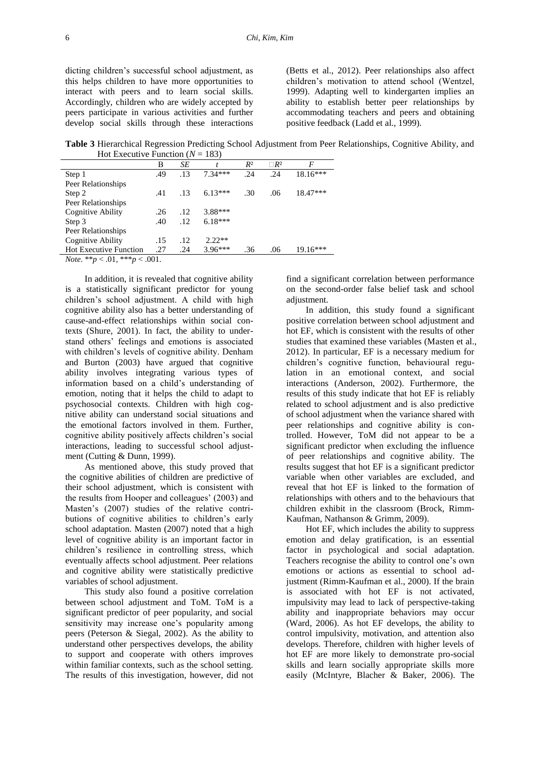dicting children's successful school adjustment, as this helps children to have more opportunities to interact with peers and to learn social skills. Accordingly, children who are widely accepted by peers participate in various activities and further develop social skills through these interactions

(Betts et al., 2012). Peer relationships also affect children's motivation to attend school (Wentzel, 1999). Adapting well to kindergarten implies an ability to establish better peer relationships by accommodating teachers and peers and obtaining positive feedback (Ladd et al., 1999).

**Table 3** Hierarchical Regression Predicting School Adjustment from Peer Relationships, Cognitive Ability, and Hot Executive Function  $(N = 183)$ 

| $110t$ Excent ve I unction $(1)$ = $100$ |     |     |           |       |            |            |  |
|------------------------------------------|-----|-----|-----------|-------|------------|------------|--|
|                                          | В   | SЕ  |           | $R^2$ | $\Box R^2$ | F          |  |
| Step 1                                   | .49 | .13 | $7.34***$ | .24   | .24        | $18.16***$ |  |
| Peer Relationships                       |     |     |           |       |            |            |  |
| Step 2                                   | .41 | .13 | $6.13***$ | .30   | .06        | 18.47***   |  |
| Peer Relationships                       |     |     |           |       |            |            |  |
| Cognitive Ability                        | .26 | .12 | 3.88***   |       |            |            |  |
| Step 3                                   | .40 | .12 | $6.18***$ |       |            |            |  |
| Peer Relationships                       |     |     |           |       |            |            |  |
| Cognitive Ability                        | .15 | .12 | $2.22**$  |       |            |            |  |
| <b>Hot Executive Function</b>            | .27 | .24 | $3.96***$ | .36   | .06        | $19.16***$ |  |
| $M_{0.48}$ ** $> 0.1$ *** $> 0.01$       |     |     |           |       |            |            |  |

*Note*. \*\**p* < .01, \*\*\**p* < .001.

In addition, it is revealed that cognitive ability is a statistically significant predictor for young children's school adjustment. A child with high cognitive ability also has a better understanding of cause-and-effect relationships within social contexts (Shure, 2001). In fact, the ability to understand others' feelings and emotions is associated with children's levels of cognitive ability. Denham and Burton (2003) have argued that cognitive ability involves integrating various types of information based on a child's understanding of emotion, noting that it helps the child to adapt to psychosocial contexts. Children with high cognitive ability can understand social situations and the emotional factors involved in them. Further, cognitive ability positively affects children's social interactions, leading to successful school adjustment (Cutting & Dunn, 1999).

As mentioned above, this study proved that the cognitive abilities of children are predictive of their school adjustment, which is consistent with the results from Hooper and colleagues' (2003) and Masten's (2007) studies of the relative contributions of cognitive abilities to children's early school adaptation. Masten (2007) noted that a high level of cognitive ability is an important factor in children's resilience in controlling stress, which eventually affects school adjustment. Peer relations and cognitive ability were statistically predictive variables of school adjustment.

This study also found a positive correlation between school adjustment and ToM. ToM is a significant predictor of peer popularity, and social sensitivity may increase one's popularity among peers (Peterson & Siegal, 2002). As the ability to understand other perspectives develops, the ability to support and cooperate with others improves within familiar contexts, such as the school setting. The results of this investigation, however, did not find a significant correlation between performance on the second-order false belief task and school adjustment.

In addition, this study found a significant positive correlation between school adjustment and hot EF, which is consistent with the results of other studies that examined these variables (Masten et al., 2012). In particular, EF is a necessary medium for children's cognitive function, behavioural regulation in an emotional context, and social interactions (Anderson, 2002). Furthermore, the results of this study indicate that hot EF is reliably related to school adjustment and is also predictive of school adjustment when the variance shared with peer relationships and cognitive ability is controlled. However, ToM did not appear to be a significant predictor when excluding the influence of peer relationships and cognitive ability. The results suggest that hot EF is a significant predictor variable when other variables are excluded, and reveal that hot EF is linked to the formation of relationships with others and to the behaviours that children exhibit in the classroom (Brock, Rimm-Kaufman, Nathanson & Grimm, 2009).

Hot EF, which includes the ability to suppress emotion and delay gratification, is an essential factor in psychological and social adaptation. Teachers recognise the ability to control one's own emotions or actions as essential to school adjustment (Rimm-Kaufman et al., 2000). If the brain is associated with hot EF is not activated, impulsivity may lead to lack of perspective-taking ability and inappropriate behaviors may occur (Ward, 2006). As hot EF develops, the ability to control impulsivity, motivation, and attention also develops. Therefore, children with higher levels of hot EF are more likely to demonstrate pro-social skills and learn socially appropriate skills more easily (McIntyre, Blacher & Baker, 2006). The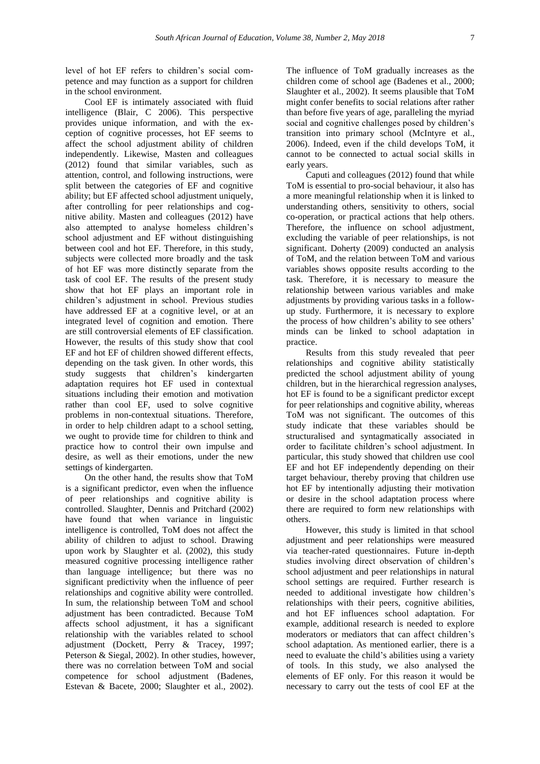level of hot EF refers to children's social competence and may function as a support for children in the school environment.

Cool EF is intimately associated with fluid intelligence (Blair, C 2006). This perspective provides unique information, and with the exception of cognitive processes, hot EF seems to affect the school adjustment ability of children independently. Likewise, Masten and colleagues (2012) found that similar variables, such as attention, control, and following instructions, were split between the categories of EF and cognitive ability; but EF affected school adjustment uniquely, after controlling for peer relationships and cognitive ability. Masten and colleagues (2012) have also attempted to analyse homeless children's school adjustment and EF without distinguishing between cool and hot EF. Therefore, in this study, subjects were collected more broadly and the task of hot EF was more distinctly separate from the task of cool EF. The results of the present study show that hot EF plays an important role in children's adjustment in school. Previous studies have addressed EF at a cognitive level, or at an integrated level of cognition and emotion. There are still controversial elements of EF classification. However, the results of this study show that cool EF and hot EF of children showed different effects, depending on the task given. In other words, this study suggests that children's kindergarten adaptation requires hot EF used in contextual situations including their emotion and motivation rather than cool EF, used to solve cognitive problems in non-contextual situations. Therefore, in order to help children adapt to a school setting, we ought to provide time for children to think and practice how to control their own impulse and desire, as well as their emotions, under the new settings of kindergarten.

On the other hand, the results show that ToM is a significant predictor, even when the influence of peer relationships and cognitive ability is controlled. Slaughter, Dennis and Pritchard (2002) have found that when variance in linguistic intelligence is controlled, ToM does not affect the ability of children to adjust to school. Drawing upon work by Slaughter et al. (2002), this study measured cognitive processing intelligence rather than language intelligence; but there was no significant predictivity when the influence of peer relationships and cognitive ability were controlled. In sum, the relationship between ToM and school adjustment has been contradicted. Because ToM affects school adjustment, it has a significant relationship with the variables related to school adjustment (Dockett, Perry & Tracey, 1997; Peterson & Siegal, 2002). In other studies, however, there was no correlation between ToM and social competence for school adjustment (Badenes, Estevan & Bacete, 2000; Slaughter et al., 2002).

The influence of ToM gradually increases as the children come of school age (Badenes et al., 2000; Slaughter et al., 2002). It seems plausible that ToM might confer benefits to social relations after rather than before five years of age, paralleling the myriad social and cognitive challenges posed by children's transition into primary school (McIntyre et al., 2006). Indeed, even if the child develops ToM, it cannot to be connected to actual social skills in early years.

Caputi and colleagues (2012) found that while ToM is essential to pro-social behaviour, it also has a more meaningful relationship when it is linked to understanding others, sensitivity to others, social co-operation, or practical actions that help others. Therefore, the influence on school adjustment, excluding the variable of peer relationships, is not significant. Doherty (2009) conducted an analysis of ToM, and the relation between ToM and various variables shows opposite results according to the task. Therefore, it is necessary to measure the relationship between various variables and make adjustments by providing various tasks in a followup study. Furthermore, it is necessary to explore the process of how children's ability to see others' minds can be linked to school adaptation in practice.

Results from this study revealed that peer relationships and cognitive ability statistically predicted the school adjustment ability of young children, but in the hierarchical regression analyses, hot EF is found to be a significant predictor except for peer relationships and cognitive ability, whereas ToM was not significant. The outcomes of this study indicate that these variables should be structuralised and syntagmatically associated in order to facilitate children's school adjustment. In particular, this study showed that children use cool EF and hot EF independently depending on their target behaviour, thereby proving that children use hot EF by intentionally adjusting their motivation or desire in the school adaptation process where there are required to form new relationships with others.

However, this study is limited in that school adjustment and peer relationships were measured via teacher-rated questionnaires. Future in-depth studies involving direct observation of children's school adjustment and peer relationships in natural school settings are required. Further research is needed to additional investigate how children's relationships with their peers, cognitive abilities, and hot EF influences school adaptation. For example, additional research is needed to explore moderators or mediators that can affect children's school adaptation. As mentioned earlier, there is a need to evaluate the child's abilities using a variety of tools. In this study, we also analysed the elements of EF only. For this reason it would be necessary to carry out the tests of cool EF at the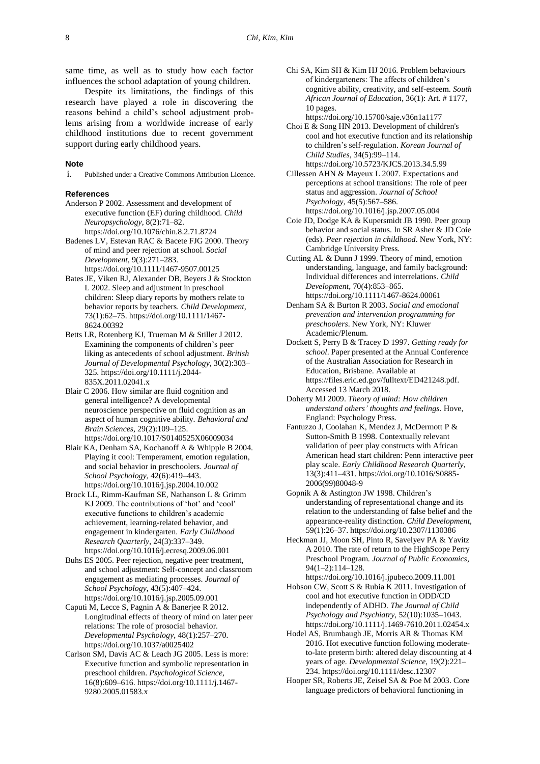same time, as well as to study how each factor influences the school adaptation of young children.

Despite its limitations, the findings of this research have played a role in discovering the reasons behind a child's school adjustment problems arising from a worldwide increase of early childhood institutions due to recent government support during early childhood years.

### **Note**

i. Published under a Creative Commons Attribution Licence.

## **References**

- Anderson P 2002. Assessment and development of executive function (EF) during childhood. *Child Neuropsychology*, 8(2):71–82. <https://doi.org/10.1076/chin.8.2.71.8724>
- Badenes LV, Estevan RAC & Bacete FJG 2000. Theory of mind and peer rejection at school. *Social Development*, 9(3):271–283. <https://doi.org/10.1111/1467-9507.00125>
- Bates JE, Viken RJ, Alexander DB, Beyers J & Stockton L 2002. Sleep and adjustment in preschool children: Sleep diary reports by mothers relate to behavior reports by teachers. *Child Development*, 73(1):62–75. [https://doi.org/10.1111/1467-](https://doi.org/10.1111/1467-8624.00392) [8624.00392](https://doi.org/10.1111/1467-8624.00392)
- Betts LR, Rotenberg KJ, Trueman M & Stiller J 2012. Examining the components of children's peer liking as antecedents of school adjustment. *British Journal of Developmental Psychology*, 30(2):303– 325. [https://doi.org/10.1111/j.2044-](https://doi.org/10.1111/j.2044-835X.2011.02041.x) [835X.2011.02041.x](https://doi.org/10.1111/j.2044-835X.2011.02041.x)
- Blair C 2006. How similar are fluid cognition and general intelligence? A developmental neuroscience perspective on fluid cognition as an aspect of human cognitive ability. *Behavioral and Brain Sciences*, 29(2):109–125. <https://doi.org/10.1017/S0140525X06009034>
- Blair KA, Denham SA, Kochanoff A & Whipple B 2004. Playing it cool: Temperament, emotion regulation, and social behavior in preschoolers. *Journal of School Psychology*, 42(6):419–443. <https://doi.org/10.1016/j.jsp.2004.10.002>
- Brock LL, Rimm-Kaufman SE, Nathanson L & Grimm KJ 2009. The contributions of 'hot' and 'cool' executive functions to children's academic achievement, learning-related behavior, and engagement in kindergarten. *Early Childhood Research Quarterly*, 24(3):337–349. <https://doi.org/10.1016/j.ecresq.2009.06.001>
- Buhs ES 2005. Peer rejection, negative peer treatment, and school adjustment: Self-concept and classroom engagement as mediating processes. *Journal of School Psychology*, 43(5):407–424. <https://doi.org/10.1016/j.jsp.2005.09.001>
- Caputi M, Lecce S, Pagnin A & Banerjee R 2012. Longitudinal effects of theory of mind on later peer relations: The role of prosocial behavior. *Developmental Psychology*, 48(1):257–270. <https://doi.org/10.1037/a0025402>
- Carlson SM, Davis AC & Leach JG 2005. Less is more: Executive function and symbolic representation in preschool children. *Psychological Science*, 16(8):609–616. [https://doi.org/10.1111/j.1467-](https://doi.org/10.1111/j.1467-9280.2005.01583.x) [9280.2005.01583.x](https://doi.org/10.1111/j.1467-9280.2005.01583.x)
- Chi SA, Kim SH & Kim HJ 2016. Problem behaviours of kindergarteners: The affects of children's cognitive ability, creativity, and self-esteem. *South African Journal of Education*, 36(1): Art. # 1177, 10 pages. <https://doi.org/10.15700/saje.v36n1a1177>
- Choi E & Song HN 2013. Development of children's cool and hot executive function and its relationship to children's self-regulation. *Korean Journal of Child Studies*, 34(5):99–114. <https://doi.org/10.5723/KJCS.2013.34.5.99>
- Cillessen AHN & Mayeux L 2007. Expectations and perceptions at school transitions: The role of peer status and aggression. *Journal of School Psychology*, 45(5):567–586. <https://doi.org/10.1016/j.jsp.2007.05.004>
- Coie JD, Dodge KA & Kupersmidt JB 1990. Peer group behavior and social status. In SR Asher & JD Coie (eds). *Peer rejection in childhood*. New York, NY: Cambridge University Press.
- Cutting AL & Dunn J 1999. Theory of mind, emotion understanding, language, and family background: Individual differences and interrelations. *Child Development*, 70(4):853–865. <https://doi.org/10.1111/1467-8624.00061>
- Denham SA & Burton R 2003. *Social and emotional prevention and intervention programming for preschoolers*. New York, NY: Kluwer Academic/Plenum.
- Dockett S, Perry B & Tracey D 1997. *Getting ready for school*. Paper presented at the Annual Conference of the Australian Association for Research in Education, Brisbane. Available at [https://files.eric.ed.gov/fulltext/ED421248.pdf.](https://files.eric.ed.gov/fulltext/ED421248.pdf) Accessed 13 March 2018.
- Doherty MJ 2009. *Theory of mind: How children understand others' thoughts and feelings*. Hove, England: Psychology Press.
- Fantuzzo J, Coolahan K, Mendez J, McDermott P & Sutton-Smith B 1998. Contextually relevant validation of peer play constructs with African American head start children: Penn interactive peer play scale. *Early Childhood Research Quarterly*, 13(3):411–431. [https://doi.org/10.1016/S0885-](https://doi.org/10.1016/S0885-2006(99)80048-9) [2006\(99\)80048-9](https://doi.org/10.1016/S0885-2006(99)80048-9)
- Gopnik A & Astington JW 1998. Children's understanding of representational change and its relation to the understanding of false belief and the appearance-reality distinction. *Child Development*, 59(1):26–37. <https://doi.org/10.2307/1130386>
- Heckman JJ, Moon SH, Pinto R, Savelyev PA & Yavitz A 2010. The rate of return to the HighScope Perry Preschool Program. *Journal of Public Economics*, 94(1–2):114–128.
- <https://doi.org/10.1016/j.jpubeco.2009.11.001> Hobson CW, Scott S & Rubia K 2011. Investigation of cool and hot executive function in ODD/CD independently of ADHD. *The Journal of Child Psychology and Psychiatry*, 52(10):1035–1043. <https://doi.org/10.1111/j.1469-7610.2011.02454.x>
- Hodel AS, Brumbaugh JE, Morris AR & Thomas KM 2016. Hot executive function following moderateto-late preterm birth: altered delay discounting at 4 years of age. *Developmental Science*, 19(2):221– 234. <https://doi.org/10.1111/desc.12307>
- Hooper SR, Roberts JE, Zeisel SA & Poe M 2003. Core language predictors of behavioral functioning in